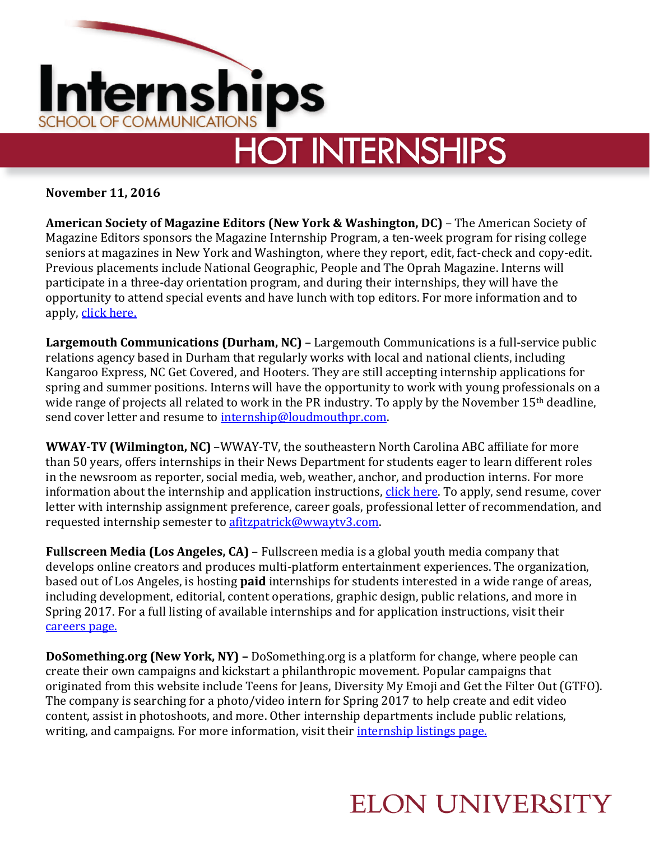

**November 11, 2016**

**American Society of Magazine Editors (New York & Washington, DC)** – The American Society of Magazine Editors sponsors the Magazine Internship Program, a ten-week program for rising college seniors at magazines in New York and Washington, where they report, edit, fact-check and copy-edit. Previous placements include National Geographic, People and The Oprah Magazine. Interns will participate in a three-day orientation program, and during their internships, they will have the opportunity to attend special events and have lunch with top editors. For more information and to apply, [click here.](https://asmeinternship.secure-platform.com/a/organizations/main/home)

**Largemouth Communications (Durham, NC)** – Largemouth Communications is a full-service public relations agency based in Durham that regularly works with local and national clients, including Kangaroo Express, NC Get Covered, and Hooters. They are still accepting internship applications for spring and summer positions. Interns will have the opportunity to work with young professionals on a wide range of projects all related to work in the PR industry. To apply by the November 15<sup>th</sup> deadline, send cover letter and resume to [internship@loudmouthpr.com.](mailto:internship@loudmouthpr.com) 

**WWAY-TV (Wilmington, NC)** –WWAY-TV, the southeastern North Carolina ABC affiliate for more than 50 years, offers internships in their News Department for students eager to learn different roles in the newsroom as reporter, social media, web, weather, anchor, and production interns. For more information about the internship and application instructions, [click here.](http://www.wwaytv3.com/wway-internship-program/) To apply, send resume, cover letter with internship assignment preference, career goals, professional letter of recommendation, and requested internship semester to [afitzpatrick@wwaytv3.com.](mailto:afitzpatrick@wwaytv3.com)

**Fullscreen Media (Los Angeles, CA)** – Fullscreen media is a global youth media company that develops online creators and produces multi-platform entertainment experiences. The organization, based out of Los Angeles, is hosting **paid** internships for students interested in a wide range of areas, including development, editorial, content operations, graphic design, public relations, and more in Spring 2017. For a full listing of available internships and for application instructions, visit their [careers page.](http://fullscreenmedia.co/careers/)

**DoSomething.org (New York, NY) –** DoSomething.org is a platform for change, where people can create their own campaigns and kickstart a philanthropic movement. Popular campaigns that originated from this website include Teens for Jeans, Diversity My Emoji and Get the Filter Out (GTFO). The company is searching for a photo/video intern for Spring 2017 to help create and edit video content, assist in photoshoots, and more. Other internship departments include public relations, writing, and campaigns. For more information, visit their [internship listings page.](https://www.dosomething.org/us/about/internships)

## **ELON UNIVERSITY**